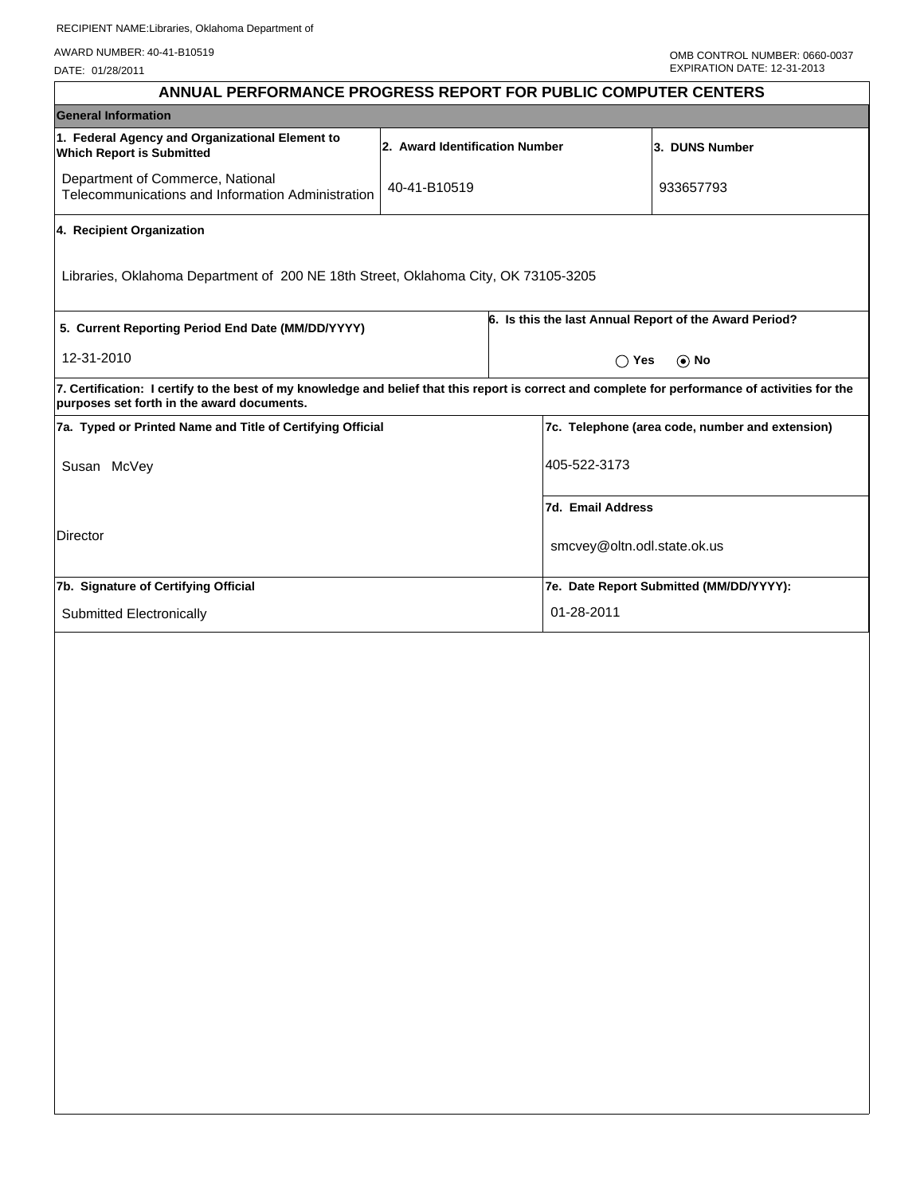AWARD NUMBER: 40-41-B10519

DATE: 01/28/2011

| 2. Award Identification Number                             |                                                                   |                                                                                                                                                                                                                                                                                                                                                                                                                                                                 |  |  |
|------------------------------------------------------------|-------------------------------------------------------------------|-----------------------------------------------------------------------------------------------------------------------------------------------------------------------------------------------------------------------------------------------------------------------------------------------------------------------------------------------------------------------------------------------------------------------------------------------------------------|--|--|
|                                                            |                                                                   |                                                                                                                                                                                                                                                                                                                                                                                                                                                                 |  |  |
|                                                            |                                                                   | 3. DUNS Number                                                                                                                                                                                                                                                                                                                                                                                                                                                  |  |  |
|                                                            |                                                                   | 933657793                                                                                                                                                                                                                                                                                                                                                                                                                                                       |  |  |
|                                                            |                                                                   |                                                                                                                                                                                                                                                                                                                                                                                                                                                                 |  |  |
|                                                            |                                                                   |                                                                                                                                                                                                                                                                                                                                                                                                                                                                 |  |  |
| 5. Current Reporting Period End Date (MM/DD/YYYY)          |                                                                   |                                                                                                                                                                                                                                                                                                                                                                                                                                                                 |  |  |
| 12-31-2010                                                 |                                                                   |                                                                                                                                                                                                                                                                                                                                                                                                                                                                 |  |  |
|                                                            |                                                                   |                                                                                                                                                                                                                                                                                                                                                                                                                                                                 |  |  |
| 7a. Typed or Printed Name and Title of Certifying Official |                                                                   |                                                                                                                                                                                                                                                                                                                                                                                                                                                                 |  |  |
| Susan McVey                                                |                                                                   |                                                                                                                                                                                                                                                                                                                                                                                                                                                                 |  |  |
|                                                            | 7d. Email Address                                                 |                                                                                                                                                                                                                                                                                                                                                                                                                                                                 |  |  |
| Director                                                   |                                                                   |                                                                                                                                                                                                                                                                                                                                                                                                                                                                 |  |  |
| 7b. Signature of Certifying Official                       |                                                                   |                                                                                                                                                                                                                                                                                                                                                                                                                                                                 |  |  |
|                                                            | 01-28-2011                                                        |                                                                                                                                                                                                                                                                                                                                                                                                                                                                 |  |  |
|                                                            |                                                                   |                                                                                                                                                                                                                                                                                                                                                                                                                                                                 |  |  |
|                                                            |                                                                   |                                                                                                                                                                                                                                                                                                                                                                                                                                                                 |  |  |
|                                                            | 40-41-B10519<br>Telecommunications and Information Administration | Libraries, Oklahoma Department of 200 NE 18th Street, Oklahoma City, OK 73105-3205<br>6. Is this the last Annual Report of the Award Period?<br>$\bigcap$ Yes<br>7. Certification: I certify to the best of my knowledge and belief that this report is correct and complete for performance of activities for the<br>7c. Telephone (area code, number and extension)<br>405-522-3173<br>smcvey@oltn.odl.state.ok.us<br>7e. Date Report Submitted (MM/DD/YYYY): |  |  |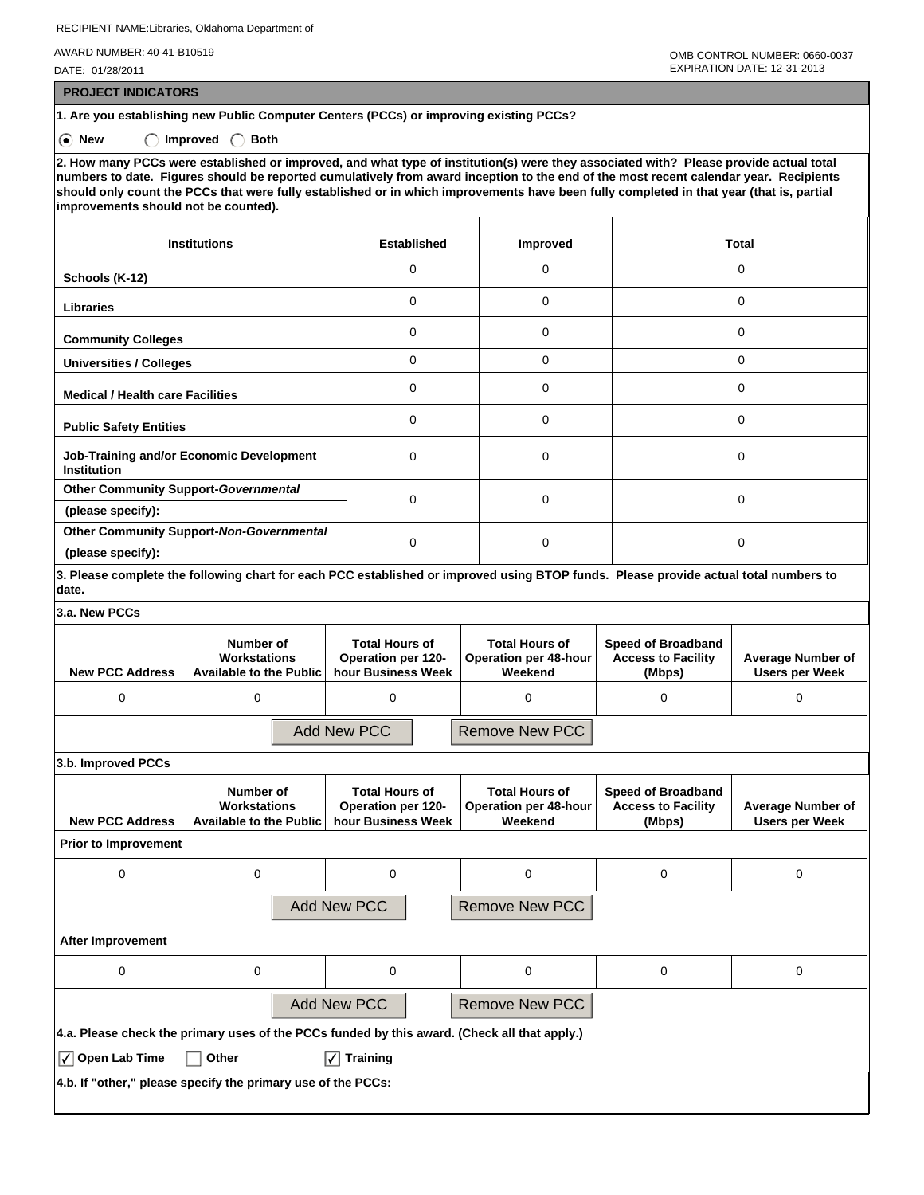RECIPIENT NAME:Libraries, Oklahoma Department of

AWARD NUMBER: 40-41-B10519

DATE: 01/28/2011

 **PROJECT INDICATORS**

**1. Are you establishing new Public Computer Centers (PCCs) or improving existing PCCs?**

**6** New  $\bigcap$  Improved  $\bigcap$  Both

**2. How many PCCs were established or improved, and what type of institution(s) were they associated with? Please provide actual total numbers to date. Figures should be reported cumulatively from award inception to the end of the most recent calendar year. Recipients should only count the PCCs that were fully established or in which improvements have been fully completed in that year (that is, partial improvements should not be counted).**

| <b>Institutions</b>                                            | <b>Established</b> | Improved | <b>Total</b> |  |
|----------------------------------------------------------------|--------------------|----------|--------------|--|
| Schools (K-12)                                                 | 0                  | 0        | 0            |  |
| <b>Libraries</b>                                               | 0                  | 0        | 0            |  |
| <b>Community Colleges</b>                                      | 0                  | 0        | $\Omega$     |  |
| <b>Universities / Colleges</b>                                 | 0                  | 0        | 0            |  |
| <b>Medical / Health care Facilities</b>                        | 0                  | 0        | 0            |  |
| <b>Public Safety Entities</b>                                  | 0                  | $\Omega$ | $\Omega$     |  |
| Job-Training and/or Economic Development<br><b>Institution</b> | 0                  | 0        | 0            |  |
| <b>Other Community Support-Governmental</b>                    | 0                  | 0        | 0            |  |
| (please specify):                                              |                    |          |              |  |
| Other Community Support-Non-Governmental                       | 0                  | 0        | 0            |  |
| (please specify):                                              |                    |          |              |  |

**3. Please complete the following chart for each PCC established or improved using BTOP funds. Please provide actual total numbers to date.**

**3.a. New PCCs**

| J.U. ITGW I UUJ                                                                              |                                                                    |  |                                                                   |  |                                                                  |                                                                  |                                                   |  |  |
|----------------------------------------------------------------------------------------------|--------------------------------------------------------------------|--|-------------------------------------------------------------------|--|------------------------------------------------------------------|------------------------------------------------------------------|---------------------------------------------------|--|--|
| <b>New PCC Address</b>                                                                       | Number of<br><b>Workstations</b><br><b>Available to the Public</b> |  | <b>Total Hours of</b><br>Operation per 120-<br>hour Business Week |  | <b>Total Hours of</b><br><b>Operation per 48-hour</b><br>Weekend | <b>Speed of Broadband</b><br><b>Access to Facility</b><br>(Mbps) | <b>Average Number of</b><br><b>Users per Week</b> |  |  |
| 0                                                                                            | 0                                                                  |  | $\mathbf 0$                                                       |  | 0                                                                | 0                                                                | 0                                                 |  |  |
|                                                                                              |                                                                    |  | <b>Add New PCC</b>                                                |  | <b>Remove New PCC</b>                                            |                                                                  |                                                   |  |  |
| 3.b. Improved PCCs                                                                           |                                                                    |  |                                                                   |  |                                                                  |                                                                  |                                                   |  |  |
| <b>New PCC Address</b>                                                                       | Number of<br>Workstations<br><b>Available to the Public</b>        |  | <b>Total Hours of</b><br>Operation per 120-<br>hour Business Week |  | <b>Total Hours of</b><br><b>Operation per 48-hour</b><br>Weekend | <b>Speed of Broadband</b><br><b>Access to Facility</b><br>(Mbps) | <b>Average Number of</b><br><b>Users per Week</b> |  |  |
| <b>Prior to Improvement</b>                                                                  |                                                                    |  |                                                                   |  |                                                                  |                                                                  |                                                   |  |  |
| 0                                                                                            | $\Omega$                                                           |  | $\Omega$                                                          |  | 0                                                                | $\Omega$                                                         | 0                                                 |  |  |
| <b>Add New PCC</b><br><b>Remove New PCC</b>                                                  |                                                                    |  |                                                                   |  |                                                                  |                                                                  |                                                   |  |  |
| <b>After Improvement</b>                                                                     |                                                                    |  |                                                                   |  |                                                                  |                                                                  |                                                   |  |  |
| 0                                                                                            | 0                                                                  |  | 0                                                                 |  | 0                                                                | 0                                                                | 0                                                 |  |  |
|                                                                                              |                                                                    |  | <b>Add New PCC</b>                                                |  | <b>Remove New PCC</b>                                            |                                                                  |                                                   |  |  |
| 4.a. Please check the primary uses of the PCCs funded by this award. (Check all that apply.) |                                                                    |  |                                                                   |  |                                                                  |                                                                  |                                                   |  |  |
| $\sqrt{\phantom{a}}$ Open Lab Time                                                           | Other                                                              |  | <b>Training</b><br>I√I                                            |  |                                                                  |                                                                  |                                                   |  |  |
| 4.b. If "other," please specify the primary use of the PCCs:                                 |                                                                    |  |                                                                   |  |                                                                  |                                                                  |                                                   |  |  |